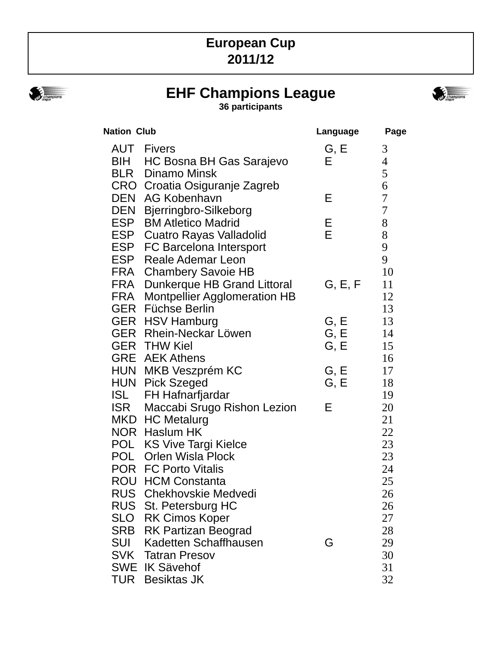# **European Cup 2011/12**



# **EHF Champions League**

**36 participants**



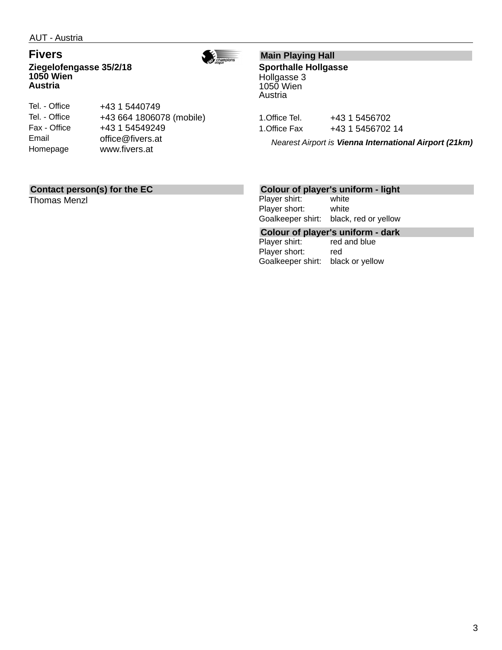$\frac{1}{\sqrt{2}}\frac{1}{\sin\frac{\pi}{2}}$ 

**Fivers Ziegelofengasse 35/2/18 1050 Wien Austria**



| Tel. - Office | +43 1 5440749            |
|---------------|--------------------------|
| Tel. - Office | +43 664 1806078 (mobile) |
| Fax - Office  | +43 1 54549249           |
| Email         | office@fivers.at         |
| Homepage      | www.fivers.at            |
|               |                          |

### **Main Playing Hall**

**Sporthalle Hollgasse** Hollgasse 3 1050 Wien Austria

1. Office Tel. +43 1 5456702 1. Office Fax +43 1 5456702 14

*Nearest Airport is Vienna International Airport (21km)*

#### **Contact person(s) for the EC**

Thomas Menzl

#### **Colour of player's uniform - light**

Player shirt: white Player short: white Goalkeeper shirt: black, red or yellow

**Colour of player's uniform - dark** Player shirt: Player short: red Goalkeeper shirt: black or yellow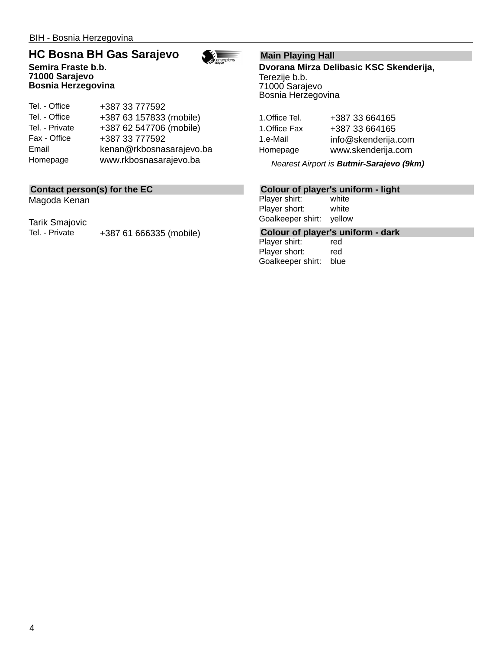**71000 Sarajevo Bosnia Herzegovina**

#### **HC Bosna BH Gas Sarajevo Semira Fraste b.b.**



Tel. - Office Tel. - Office Tel. - Private Fax - Office Email Homepage +387 33 777592 +387 63 157833 (mobile) +387 62 547706 (mobile) +387 33 777592 kenan@rkbosnasarajevo.ba www.rkbosnasarajevo.ba

#### **Contact person(s) for the EC**

Magoda Kenan

Tarik Smajovic

Tel. - Private +387 61 666335 (mobile)

#### **Main Playing Hall**

**Dvorana Mirza Delibasic KSC Skenderija,** Terezije b.b. 71000 Sarajevo Bosnia Herzegovina

1.Office Tel. +387 33 664165 1.Office Fax +387 33 664165 1.e-Mail info@skenderija.com Homepage www.skenderija.com

*Nearest Airport is Butmir-Sarajevo (9km)*

#### **Colour of player's uniform - light**

Player shirt: white Player short: white Goalkeeper shirt: yellow

**Colour of player's uniform - dark**

Player shirt: red Player short: red Goalkeeper shirt: blue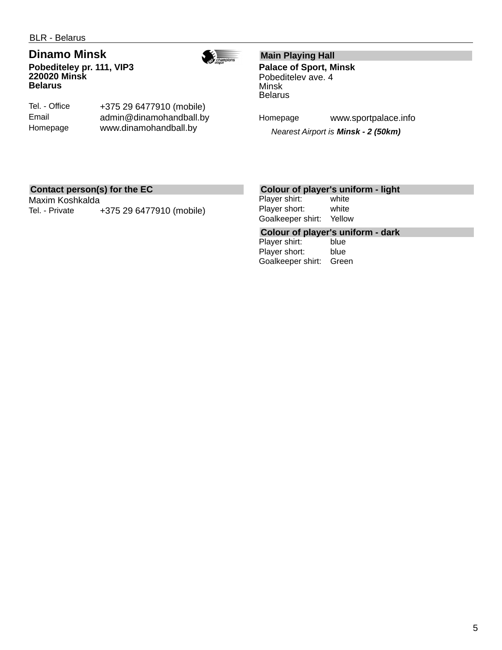## **Dinamo Minsk**

**Pobediteley pr. 111, VIP3 220020 Minsk Belarus**



Tel. - Office Email Homepage

+375 29 6477910 (mobile) admin@dinamohandball.by www.dinamohandball.by

#### **Main Playing Hall**

**Palace of Sport, Minsk** Pobeditelev ave. 4 Minsk Belarus

Homepage www.sportpalace.info

*Nearest Airport is Minsk - 2 (50km)*

#### **Contact person(s) for the EC**

Maxim Koshkalda Tel. - Private +375 29 6477910 (mobile)

#### **Colour of player's uniform - light**

Player shirt: white Player short: white Goalkeeper shirt: Yellow

**Colour of player's uniform - dark**

Player shirt: Player short: blue Goalkeeper shirt: Green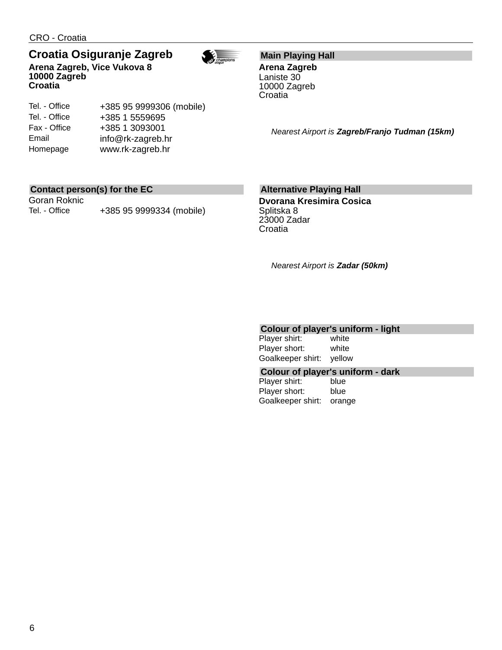Tel. - Office Tel. - Office Fax - Office Email Homepage

# **Croatia Osiguranje Zagreb**

+385 95 9999306 (mobile)

+385 1 5559695 +385 1 3093001 info@rk-zagreb.hr www.rk-zagreb.hr





#### **Main Playing Hall**

**Arena Zagreb** Laniste 30 10000 Zagreb Croatia

*Nearest Airport is Zagreb/Franjo Tudman (15km)*

#### **Contact person(s) for the EC**

Goran Roknic Tel. - Office +385 95 9999334 (mobile)

#### **Alternative Playing Hall**

**Dvorana Kresimira Cosica** Splitska 8 23000 Zadar **Croatia** 

*Nearest Airport is Zadar (50km)*

#### **Colour of player's uniform - light**

Player shirt: white Player short: white Goalkeeper shirt: yellow

#### **Colour of player's uniform - dark**

Player shirt: blue Player short: blue Goalkeeper shirt: orange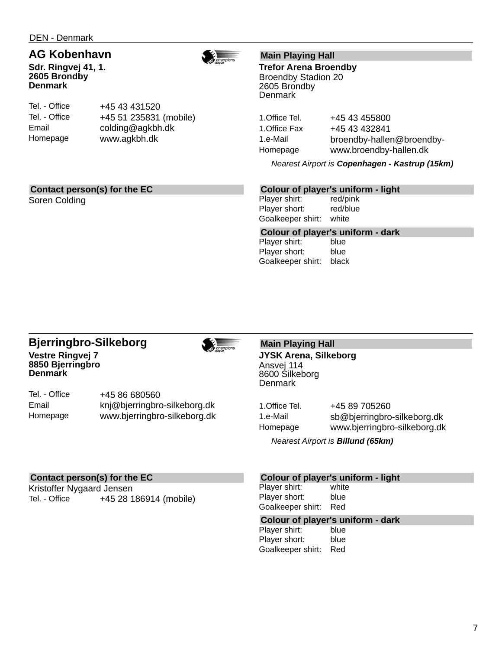### **AG Kobenhavn**

**Sdr. Ringvej 41, 1. 2605 Brondby Denmark**



Tel. - Office Tel. - Office Email Homepage

+45 43 431520 +45 51 235831 (mobile) colding@agkbh.dk www.agkbh.dk

#### **Main Playing Hall**

**Trefor Arena Broendby** Broendby Stadion 20 2605 Brondby **Denmark** 

1. Office Tel. +45 43 455800 1. Office Fax +45 43 432841 1.e-Mail broendby-hallen@broendby-Homepage www.broendby-hallen.dk

*Nearest Airport is Copenhagen - Kastrup (15km)*

#### **Contact person(s) for the EC**

Soren Colding

#### **Colour of player's uniform - light**

Player shirt: red/pink Player short: red/blue Goalkeeper shirt: white

Goalkeeper shirt: black

**Colour of player's uniform - dark** Player shirt: Player short: blue

#### **Bjerringbro-Silkeborg Vestre Ringvej 7 8850 Bjerringbro Denmark**



Tel. - Office Email Homepage +45 86 680560 knj@bjerringbro-silkeborg.dk www.bjerringbro-silkeborg.dk

#### **Main Playing Hall JYSK Arena, Silkeborg** Ansvej 114 8600 Silkeborg **Denmark**

1. Office Tel. +45 89 705260 1.e-Mail sb@bjerringbro-silkeborg.dk Homepage www.bjerringbro-silkeborg.dk

*Nearest Airport is Billund (65km)*

#### **Contact person(s) for the EC**

Kristoffer Nygaard Jensen Tel. - Office +45 28 186914 (mobile)

#### **Colour of player's uniform - light**

Player shirt: white Player short: blue Goalkeeper shirt: Red

# **Colour of player's uniform - dark**

Player shirt: Player short: blue Goalkeeper shirt: Red

7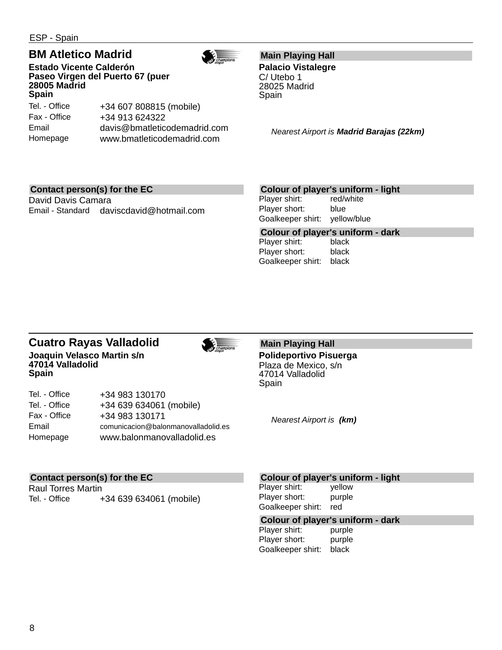ESP - Spain

Email

# **BM Atletico Madrid**

**Estado Vicente Calderón Paseo Virgen del Puerto 67 (puer 28005 Madrid Spain** Tel. - Office

Fax - Office Homepage +34 607 808815 (mobile) +34 913 624322 davis@bmatleticodemadrid.com www.bmatleticodemadrid.com

### **Main Playing Hall**

**Palacio Vistalegre** C/ Utebo 1 28025 Madrid Spain

*Nearest Airport is Madrid Barajas (22km)*

### **Contact person(s) for the EC**

David Davis Camara Email - Standard daviscdavid@hotmail.com

### **Colour of player's uniform - light**

Player shirt: red/white Player short: blue Goalkeeper shirt: yellow/blue

**Colour of player's uniform - dark** Player shirt: Player short: black Goalkeeper shirt: black

#### **Cuatro Rayas Valladolid Joaquin Velasco Martin s/n 47014 Valladolid Spain**

| Tel. - Office | +34 983 130170                      |
|---------------|-------------------------------------|
| Tel. - Office | +34 639 634061 (mobile)             |
| Fax - Office  | +34 983 130171                      |
| Email         | comunicacion@balonmanovalladolid.es |
| Homepage      | www.balonmanovalladolid.es          |
|               |                                     |

#### **Main Playing Hall Polideportivo Pisuerga** Plaza de Mexico, s/n 47014 Valladolid Spain

*Nearest Airport is (km)*

### **Contact person(s) for the EC**

Raul Torres Martin Tel. - Office +34 639 634061 (mobile)

#### **Colour of player's uniform - light**

Player shirt: yellow Player short: purple Goalkeeper shirt: red

#### **Colour of player's uniform - dark**

Player shirt: purple Player short: purple Goalkeeper shirt: black



# $\frac{1}{\sqrt{2}}$  champions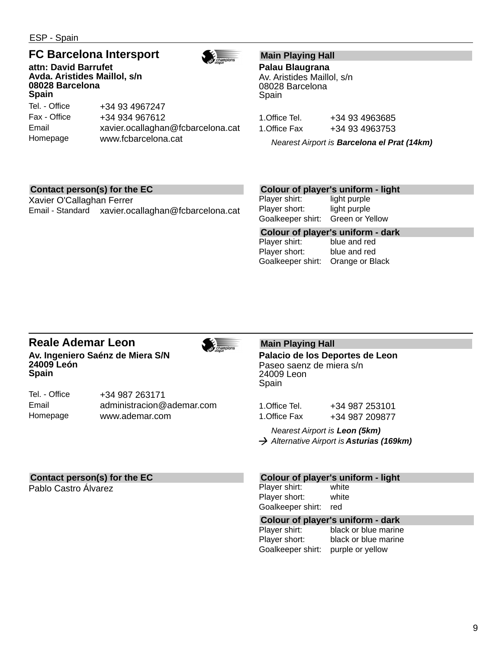ESP - Spain

### **FC Barcelona Intersport**

**attn: David Barrufet Avda. Aristides Maillol, s/n 08028 Barcelona Spain**

Tel. - Office Fax - Office Email Homepage +34 93 4967247 +34 934 967612 xavier.ocallaghan@fcbarcelona.cat www.fcbarcelona.cat

#### **Main Playing Hall**

**Palau Blaugrana** Av. Aristides Maillol, s/n 08028 Barcelona Spain

1.Office Tel. +34 93 4963685 1.Office Fax +34 93 4963753

*Nearest Airport is Barcelona el Prat (14km)*

#### **Contact person(s) for the EC**

Xavier O'Callaghan Ferrer Email - Standard xavier.ocallaghan@fcbarcelona.cat

+34 987 263171

www.ademar.com

administracion@ademar.com

#### **Colour of player's uniform - light**

Player shirt: light purple Player short: light purple Goalkeeper shirt: Green or Yellow

**Colour of player's uniform - dark** Player shirt: Player short: blue and red Goalkeeper shirt: Orange or Black

#### **Reale Ademar Leon Av. Ingeniero Saénz de Miera S/N 24009 León Spain**

champions

 $\frac{1}{\sqrt{2}}$  champions

**Palacio de los Deportes de Leon** Paseo saenz de miera s/n

24009 Leon Spain

**Main Playing Hall**

1.Office Tel. +34 987 253101 1.Office Fax +34 987 209877

*Nearest Airport is Leon (5km) Alternative Airport is Asturias (169km)*

#### **Contact person(s) for the EC**

Pablo Castro Álvarez

Tel. - Office Email Homepage

#### **Colour of player's uniform - light**

Player shirt: white Player short: white Goalkeeper shirt: red

# **Colour of player's uniform - dark**

black or blue marine Player short: black or blue marine Goalkeeper shirt: purple or yellow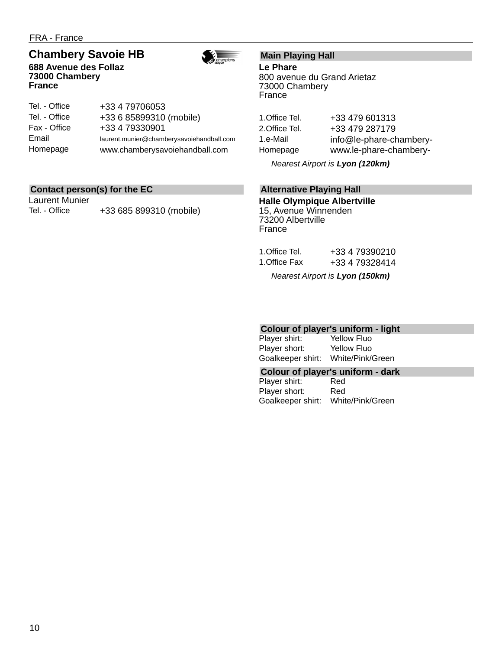FRA - France

**France**

### **Chambery Savoie HB**

**688 Avenue des Follaz 73000 Chambery**



| Tel. - Office | +33 4 79706053                            |
|---------------|-------------------------------------------|
| Tel. - Office | +33 6 85899310 (mobile)                   |
| Fax - Office  | +33 4 79330901                            |
| Email         | laurent.munier@chamberysavoiehandball.com |
| Homepage      | www.chamberysavoiehandball.com            |

#### **Contact person(s) for the EC**

Laurent Munier Tel. - Office +33 685 899310 (mobile)

#### **Main Playing Hall**

**Le Phare** 800 avenue du Grand Arietaz 73000 Chambery France

| 1.Office Tel. | +33 479 601313          |
|---------------|-------------------------|
| 2.Office Tel. | +33 479 287179          |
| 1.e-Mail      | info@le-phare-chambery- |
| Homepage      | www.le-phare-chambery-  |

*Nearest Airport is Lyon (120km)*

#### **Alternative Playing Hall**

**Halle Olympique Albertville** 15, Avenue Winnenden 73200 Albertville France

| 1.Office Tel. | +33 4 79390210 |
|---------------|----------------|
| 1.Office Fax  | +33 4 79328414 |
|               |                |

*Nearest Airport is Lyon (150km)*

# **Colour of player's uniform - light**

Player shirt: Player short: Yellow Fluo Goalkeeper shirt: White/Pink/Green

**Colour of player's uniform - dark**

Player shirt: Red Player short: Red Goalkeeper shirt: White/Pink/Green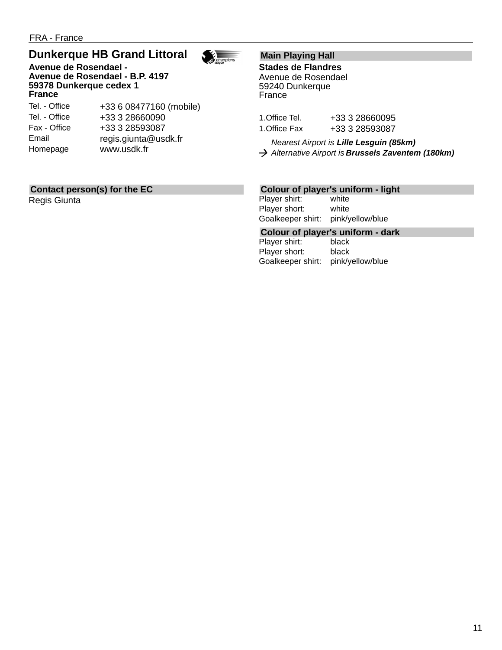# **Dunkerque HB Grand Littoral**

**Avenue de Rosendael - Avenue de Rosendael - B.P. 4197 59378 Dunkerque cedex 1 France**

Tel. - Office Tel. - Office Fax - Office Email Homepage

+33 6 08477160 (mobile) +33 3 28660090 +33 3 28593087 regis.giunta@usdk.fr www.usdk.fr

#### **Main Playing Hall**

 $\frac{1}{\sqrt{2}}$   $\frac{1}{\sqrt{2}}$   $\frac{1}{\sqrt{2}}$   $\frac{1}{\sqrt{2}}$   $\frac{1}{\sqrt{2}}$   $\frac{1}{\sqrt{2}}$ 

**Stades de Flandres** Avenue de Rosendael 59240 Dunkerque France

| 1.Office Tel. | +33 3 28660095 |
|---------------|----------------|
| 1.Office Fax  | +33 3 28593087 |

*Nearest Airport is Lille Lesguin (85km) Alternative Airport is Brussels Zaventem (180km)*

#### **Contact person(s) for the EC**

Regis Giunta

#### **Colour of player's uniform - light**

Player shirt: white Player short: white Goalkeeper shirt: pink/yellow/blue

# **Colour of player's uniform - dark**

Player shirt: Player short: black Goalkeeper shirt: pink/yellow/blue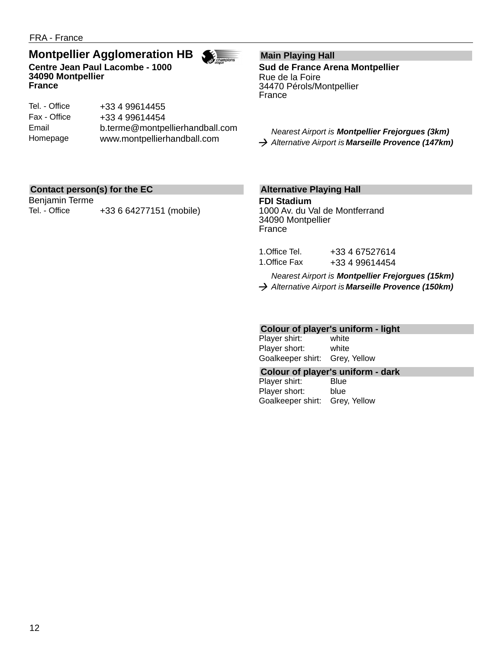### **Montpellier Agglomeration HB**



Tel. - Office Fax - Office Email Homepage +33 4 99614455 +33 4 99614454 b.terme@montpellierhandball.com www.montpellierhandball.com

#### **Main Playing Hall**

 $\sum_{\substack{\text{S}}}{\sqrt{\frac{1}{2}}}\frac{1}{2\pi}$ 

**Sud de France Arena Montpellier** Rue de la Foire 34470 Pérols/Montpellier France

*Nearest Airport is Montpellier Frejorgues (3km) Alternative Airport is Marseille Provence (147km)*

#### **Contact person(s) for the EC**

Benjamin Terme Tel. - Office +33 6 64277151 (mobile)

#### **Alternative Playing Hall**

**FDI Stadium** 1000 Av. du Val de Montferrand 34090 Montpellier France

| 1.Office Tel. | +33 4 67527614 |
|---------------|----------------|
| 1.Office Fax  | +33 4 99614454 |

*Nearest Airport is Montpellier Frejorgues (15km)*

*Alternative Airport is Marseille Provence (150km)*

#### **Colour of player's uniform - light**

Player shirt: white Player short: white Goalkeeper shirt: Grey, Yellow

#### **Colour of player's uniform - dark**

Player shirt: Blue Player short: blue Goalkeeper shirt: Grey, Yellow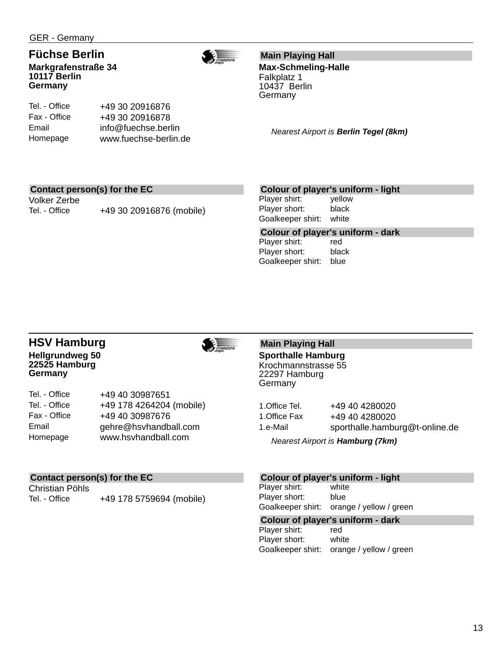Tel. - Office Fax - Office Email Homepage

#### **Füchse Berlin Markgrafenstraße 34 10117 Berlin Germany**



**Main Playing Hall**

**Max-Schmeling-Halle** Falkplatz 1 10437 Berlin Germany

*Nearest Airport is Berlin Tegel (8km)*

#### **Contact person(s) for the EC**

Volker Zerbe

Tel. - Office +49 30 20916876 (mobile)

+49 30 20916876 +49 30 20916878 info@fuechse.berlin www.fuechse-berlin.de

#### **Colour of player's uniform - light**

Player shirt: yellow Player short: black Goalkeeper shirt: white

**Colour of player's uniform - dark** Player shirt: Player short: black Goalkeeper shirt: blue

#### **HSV Hamburg Hellgrundweg 50 22525 Hamburg Germany**



| Tel. - Office | +49 40 30987651          |
|---------------|--------------------------|
| Tel. - Office | +49 178 4264204 (mobile) |
| Fax - Office  | +49 40 30987676          |
| Email         | gehre@hsvhandball.com    |
| Homepage      | www.hsvhandball.com      |

#### **Contact person(s) for the EC**

Christian Pöhls

Tel. - Office +49 178 5759694 (mobile)

#### **Main Playing Hall Sporthalle Hamburg** Krochmannstrasse 55 22297 Hamburg **Germany**

1. Office Tel. +49 40 4280020 1.Office Fax +49 40 4280020 1.e-Mail sporthalle.hamburg@t-online.de

*Nearest Airport is Hamburg (7km)*

#### **Colour of player's uniform - light**

Player shirt: white Player short: blue Goalkeeper shirt: orange / yellow / green

#### **Colour of player's uniform - dark**

Player shirt: red Player short: white Goalkeeper shirt: orange / yellow / green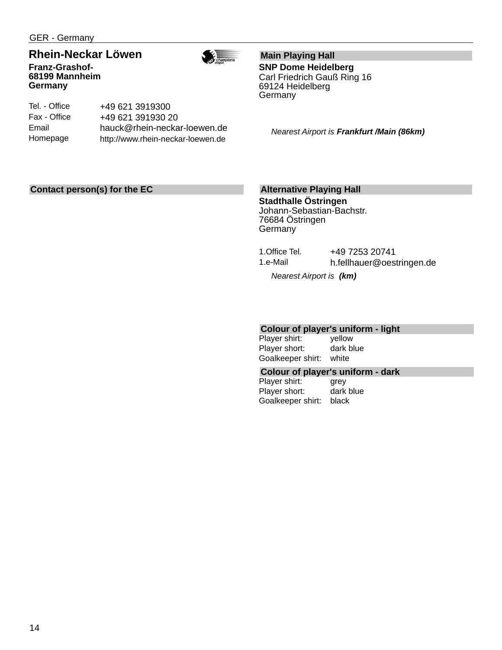GER - Germany

**68199 Mannheim**

**Germany**

#### **Rhein-Neckar Löwen Franz-Grashof-**



Tel. - Office Fax - Office Email Homepage +49 621 3919300 +49 621 391930 20 hauck@rhein-neckar-loewen.de http://www.rhein-neckar-loewen.de

**Main Playing Hall**

**SNP Dome Heidelberg** Carl Friedrich Gauß Ring 16 69124 Heidelberg Germany

*Nearest Airport is Frankfurt /Main (86km)*

#### **Contact person(s) for the EC**

#### **Alternative Playing Hall**

**Stadthalle Östringen** Johann-Sebastian-Bachstr. 76684 Östringen **Germany** 

1.Office Tel. +49 7253 20741 1.e-Mail h.fellhauer@oestringen.de

*Nearest Airport is (km)*

#### **Colour of player's uniform - light**

Player shirt: yellow Player short: dark blue Goalkeeper shirt: white

#### **Colour of player's uniform - dark**

Player shirt: grey Player short: dark blue Goalkeeper shirt: black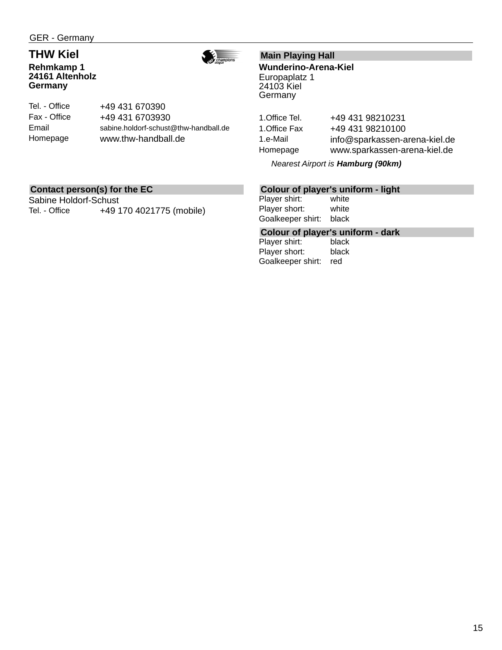#### **THW Kiel Rehmkamp 1 24161 Altenholz Germany**



Tel. - Office Fax - Office Email Homepage +49 431 670390 +49 431 6703930 sabine.holdorf-schust@thw-handball.de www.thw-handball.de

#### **Main Playing Hall**

**Wunderino-Arena-Kiel** Europaplatz 1 24103 Kiel Germany

1. Office Tel. +49 431 98210231 1. Office Fax +49 431 98210100 1.e-Mail info@sparkassen-arena-kiel.de Homepage www.sparkassen-arena-kiel.de

*Nearest Airport is Hamburg (90km)*

#### **Contact person(s) for the EC**

Sabine Holdorf-Schust Tel. - Office +49 170 4021775 (mobile)

#### **Colour of player's uniform - light**

Player shirt: white Player short: white Goalkeeper shirt: black

# **Colour of player's uniform - dark**

Player shirt: Player short: black Goalkeeper shirt: red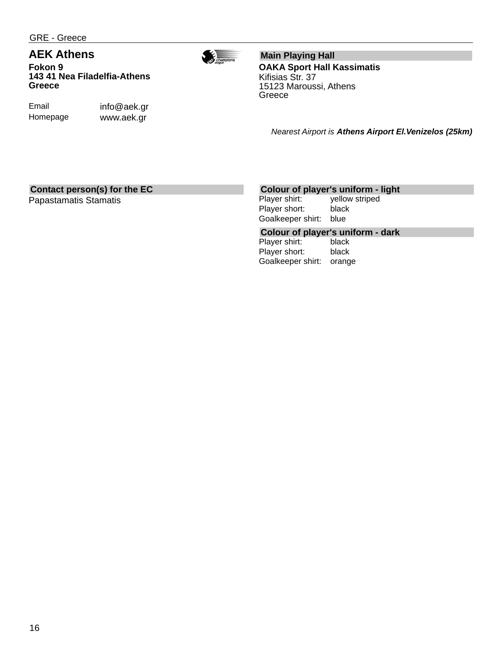GRE - Greece

### **AEK Athens**

**Fokon 9 143 41 Nea Filadelfia-Athens Greece**

Email Homepage info@aek.gr www.aek.gr

**Main Playing Hall OAKA Sport Hall Kassimatis** Kifisias Str. 37 15123 Maroussi, Athens Greece

 $\frac{1}{\sqrt{2}}\sum_{\substack{\text{charpions}\n\text{implons}}}$ 

*Nearest Airport is Athens Airport El.Venizelos (25km)*

#### **Contact person(s) for the EC**

Papastamatis Stamatis

#### **Colour of player's uniform - light**

Player shirt: yellow striped Player short: black Goalkeeper shirt: blue

# **Colour of player's uniform - dark**

Player shirt: Player short: black Goalkeeper shirt: orange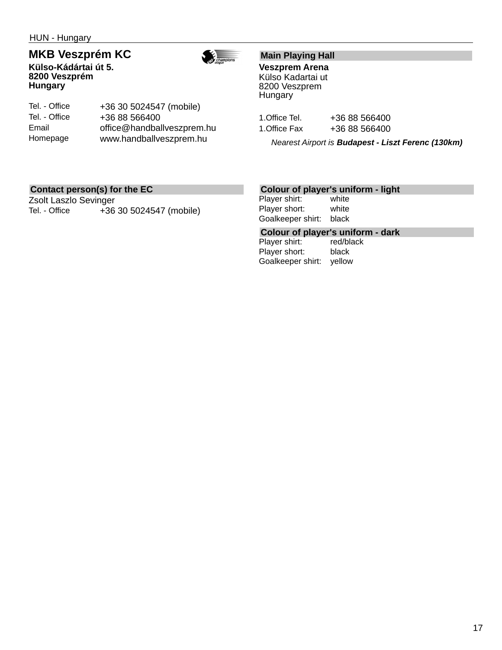HUN - Hungary

### **MKB Veszprém KC**

**Külso-Kádártai út 5. 8200 Veszprém Hungary**



Tel. - Office Tel. - Office Email Homepage +36 30 5024547 (mobile) +36 88 566400 office@handballveszprem.hu www.handballveszprem.hu

#### **Main Playing Hall**

**Veszprem Arena** Külso Kadartai ut 8200 Veszprem **Hungary** 

| 1.Office Tel. | +36 88 566400 |
|---------------|---------------|
| 1.Office Fax  | +36 88 566400 |

*Nearest Airport is Budapest - Liszt Ferenc (130km)*

#### **Contact person(s) for the EC**

Zsolt Laszlo Sevinger Tel. - Office +36 30 5024547 (mobile)

#### **Colour of player's uniform - light**

Player shirt: white Player short: white Goalkeeper shirt: black

# **Colour of player's uniform - dark**

Player shirt: Player short: black Goalkeeper shirt: yellow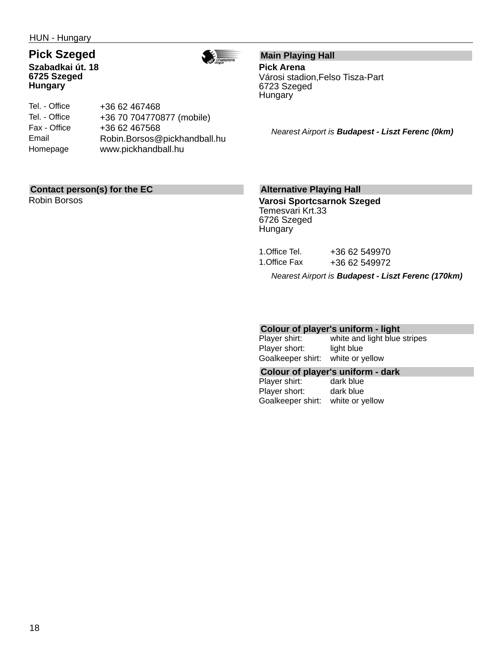HUN - Hungary

# **Pick Szeged**

**Szabadkai út. 18 6725 Szeged Hungary**



Tel. - Office Tel. - Office Fax - Office Email Homepage +36 62 467468 +36 70 704770877 (mobile) +36 62 467568 Robin.Borsos@pickhandball.hu www.pickhandball.hu

#### **Main Playing Hall Pick Arena** Városi stadion,Felso Tisza-Part

6723 Szeged Hungary

*Nearest Airport is Budapest - Liszt Ferenc (0km)*

#### **Contact person(s) for the EC**

Robin Borsos

#### **Alternative Playing Hall**

**Varosi Sportcsarnok Szeged** Temesvari Krt.33 6726 Szeged **Hungary** 

| 1.Office Tel. | +36 62 549970 |  |
|---------------|---------------|--|
| 1.Office Fax  | +36 62 549972 |  |

*Nearest Airport is Budapest - Liszt Ferenc (170km)*

#### **Colour of player's uniform - light**

| Player shirt:     | white and light blue stripes |
|-------------------|------------------------------|
| Player short:     | light blue                   |
| Goalkeeper shirt: | white or yellow              |

#### **Colour of player's uniform - dark**

Player shirt: dark blue Player short: dark blue Goalkeeper shirt: white or yellow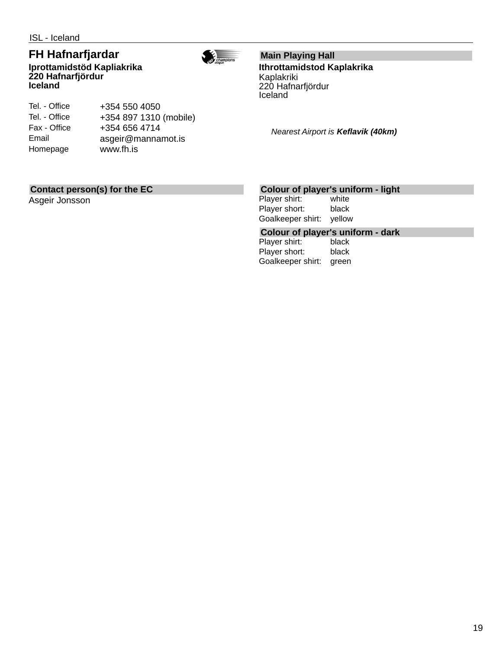Tel. - Office Tel. - Office Fax - Office Email Homepage

#### **FH Hafnarfjardar Iprottamidstöd Kapliakrika 220 Hafnarfjördur Iceland**

+354 550 4050

+354 656 4714

www.fh.is

+354 897 1310 (mobile)

asgeir@mannamot.is



# **Main Playing Hall**

**Ithrottamidstod Kaplakrika** Kaplakriki 220 Hafnarfjördur Iceland

*Nearest Airport is Keflavik (40km)*

#### **Contact person(s) for the EC**

Asgeir Jonsson

#### **Colour of player's uniform - light**

Player shirt: white Player short: black Goalkeeper shirt: yellow

# **Colour of player's uniform - dark**

Player shirt: Player short: black Goalkeeper shirt: green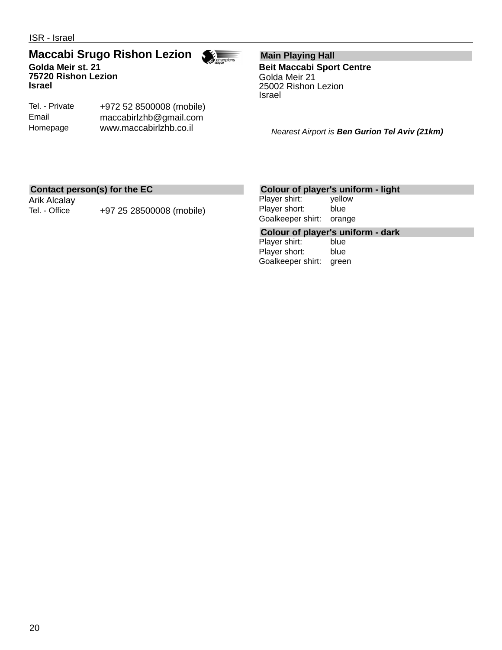#### **Maccabi Srugo Rishon Lezion Golda Meir st. 21 75720 Rishon Lezion Israel**



Tel. - Private Email Homepage

+972 52 8500008 (mobile) maccabirlzhb@gmail.com www.maccabirlzhb.co.il

**Main Playing Hall Beit Maccabi Sport Centre** Golda Meir 21 25002 Rishon Lezion Israel

*Nearest Airport is Ben Gurion Tel Aviv (21km)*

#### **Contact person(s) for the EC**

Arik Alcalay

Tel. - Office +97 25 28500008 (mobile)

#### **Colour of player's uniform - light**

Player shirt: yellow Player short: blue Goalkeeper shirt: orange

# **Colour of player's uniform - dark**

Player shirt: Player short: blue Goalkeeper shirt: green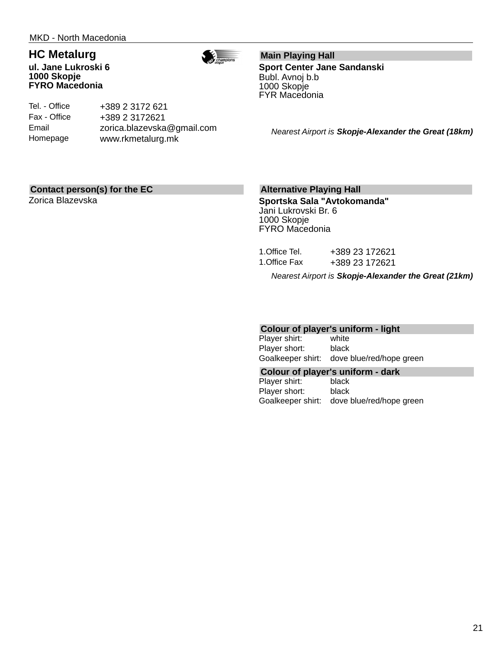### **HC Metalurg**

**ul. Jane Lukroski 6 1000 Skopje FYRO Macedonia**



Tel. - Office Fax - Office Email Homepage +389 2 3172 621 +389 2 3172621 zorica.blazevska@gmail.com www.rkmetalurg.mk

**Main Playing Hall Sport Center Jane Sandanski** Bubl. Avnoj b.b 1000 Skopje FYR Macedonia

*Nearest Airport is Skopje-Alexander the Great (18km)*

#### **Contact person(s) for the EC**

Zorica Blazevska

#### **Alternative Playing Hall**

**Sportska Sala "Avtokomanda"** Jani Lukrovski Br. 6 1000 Skopje FYRO Macedonia

| 1.Office Tel. | +389 23 172621 |
|---------------|----------------|
| 1.Office Fax  | +389 23 172621 |

*Nearest Airport is Skopje-Alexander the Great (21km)*

#### **Colour of player's uniform - light**

Player shirt: white Player short: black Goalkeeper shirt: dove blue/red/hope green

#### **Colour of player's uniform - dark**

Player shirt: black Player short: black Goalkeeper shirt: dove blue/red/hope green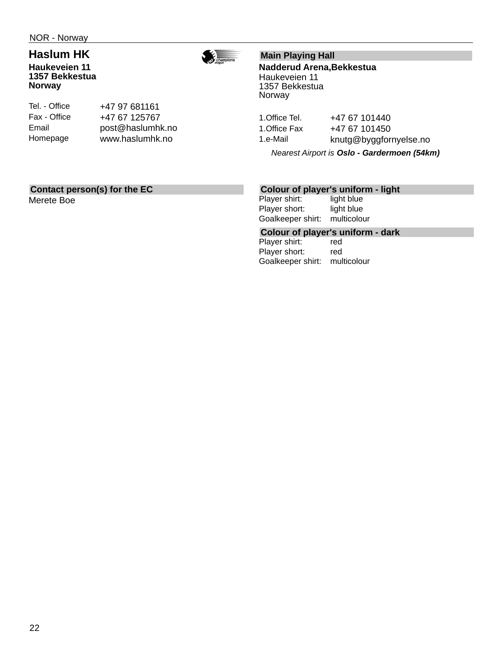### **Haslum HK**

**Haukeveien 11 1357 Bekkestua Norway**



Tel. - Office Fax - Office Email Homepage

+47 97 681161 +47 67 125767 post@haslumhk.no www.haslumhk.no

#### **Main Playing Hall**

**Nadderud Arena,Bekkestua** Haukeveien 11 1357 Bekkestua Norway

1. Office Tel. +47 67 101440 1. Office Fax +47 67 101450 1.e-Mail knutg@byggfornyelse.no

*Nearest Airport is Oslo - Gardermoen (54km)*

### **Contact person(s) for the EC**

Merete Boe

#### **Colour of player's uniform - light**

Player shirt: light blue Player short: light blue Goalkeeper shirt: multicolour

**Colour of player's uniform - dark**

Player shirt: Player short: red Goalkeeper shirt: multicolour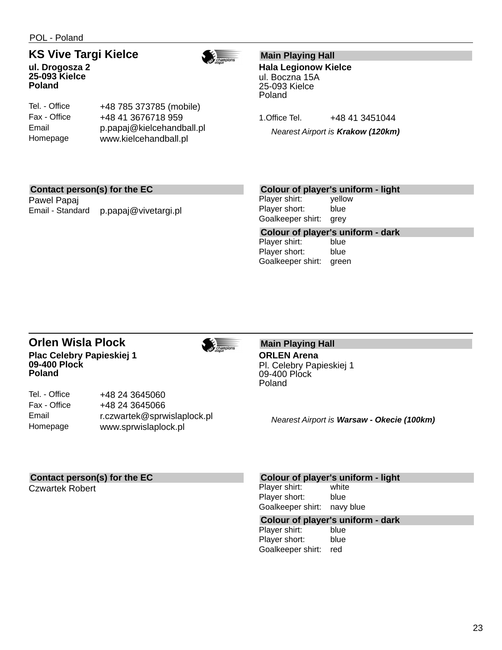POL - Poland

#### **KS Vive Targi Kielce ul. Drogosza 2**



**25-093 Kielce Poland**

Tel. - Office Fax - Office Email Homepage

+48 785 373785 (mobile) +48 41 3676718 959 p.papaj@kielcehandball.pl www.kielcehandball.pl

#### **Main Playing Hall**

**Hala Legionow Kielce** ul. Boczna 15A 25-093 Kielce Poland

1. Office Tel. +48 41 3451044

*Nearest Airport is Krakow (120km)*

#### **Contact person(s) for the EC**

Pawel Papaj Email - Standard p.papaj@vivetargi.pl

#### **Colour of player's uniform - light**

Player shirt: yellow Player short: blue Goalkeeper shirt: grey

**Colour of player's uniform - dark** Player shirt: Player short: blue Goalkeeper shirt: green

#### **Orlen Wisla Plock Plac Celebry Papieskiej 1 09-400 Plock Poland**

+48 24 3645060 +48 24 3645066

www.sprwislaplock.pl

r.czwartek@sprwislaplock.pl



**Main Playing Hall ORLEN Arena** Pl. Celebry Papieskiej 1

09-400 Plock Poland

*Nearest Airport is Warsaw - Okecie (100km)*

#### **Contact person(s) for the EC**

Czwartek Robert

Tel. - Office Fax - Office Email Homepage

#### **Colour of player's uniform - light**

Player shirt: white Player short: blue Goalkeeper shirt: navy blue

# **Colour of player's uniform - dark**

Player shirt: Player short: blue Goalkeeper shirt: red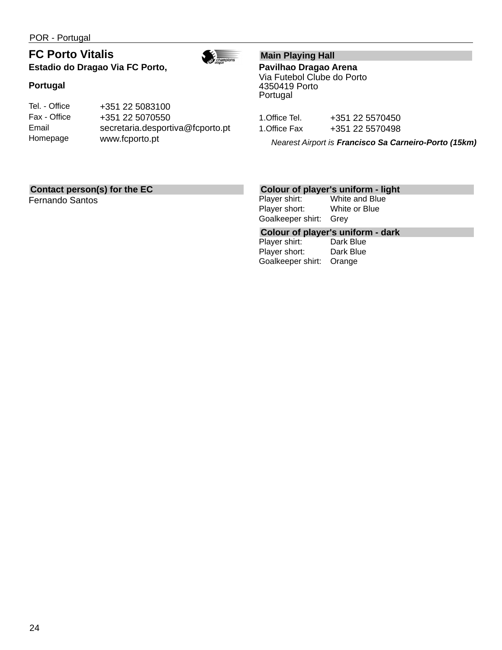POR - Portugal

### **FC Porto Vitalis Estadio do Dragao Via FC Porto,**



#### **Portugal**

| Tel. - Office | +351 22 5083100                  |
|---------------|----------------------------------|
| Fax - Office  | +351 22 5070550                  |
| Email         | secretaria.desportiva@fcporto.pt |
| Homepage      | www.fcporto.pt                   |

### **Main Playing Hall**

**Pavilhao Dragao Arena** Via Futebol Clube do Porto 4350419 Porto Portugal

1. Office Tel. +351 22 5570450 1.Office Fax +351 22 5570498

*Nearest Airport is Francisco Sa Carneiro-Porto (15km)*

#### **Contact person(s) for the EC**

Fernando Santos

# **Colour of player's uniform - light**<br>Player shirt: White and Blue

White and Blue Player short: White or Blue Goalkeeper shirt: Grey

# **Colour of player's uniform - dark**

Player shirt: Player short: Dark Blue Goalkeeper shirt: Orange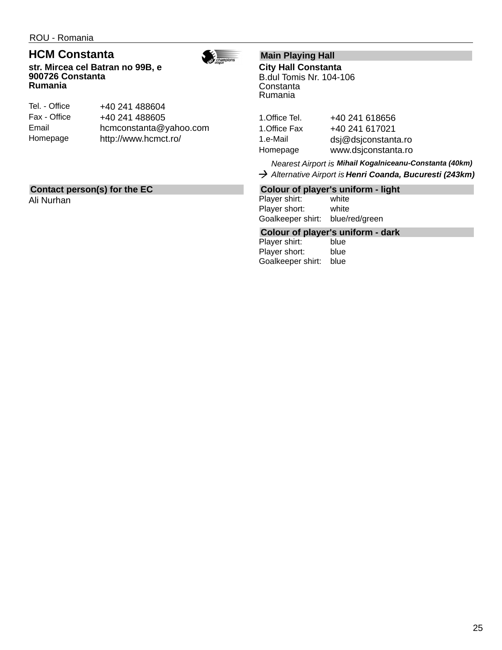ROU - Romania

### **HCM Constanta**

**str. Mircea cel Batran no 99B, e 900726 Constanta Rumania**



| Tel. - Office | +40 241 488604         |
|---------------|------------------------|
| Fax - Office  | +40 241 488605         |
| Email         | hcmconstanta@yahoo.com |
| Homepage      | http://www.hcmct.ro/   |

### **Contact person(s) for the EC**

Ali Nurhan

### **Main Playing Hall**

**City Hall Constanta** B.dul Tomis Nr. 104-106 Constanta Rumania

| 1.Office Tel. | +40 241 618656      |
|---------------|---------------------|
| 1.Office Fax  | +40 241 617021      |
| 1.e-Mail      | dsj@dsjconstanta.ro |
| Homepage      | www.dsjconstanta.ro |

*Nearest Airport is Mihail Kogalniceanu-Constanta (40km) Alternative Airport is Henri Coanda, Bucuresti (243km)*

#### **Colour of player's uniform - light**

Player shirt: white Player short: white Goalkeeper shirt: blue/red/green

# **Colour of player's uniform - dark**

Player shirt: Player short: blue Goalkeeper shirt: blue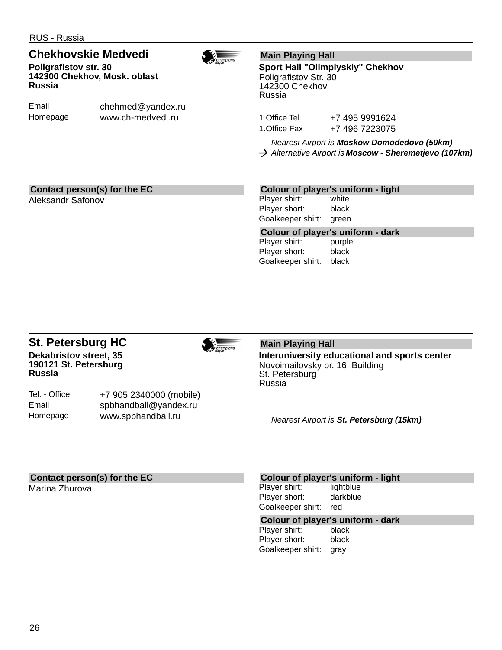RUS - Russia

#### **Chekhovskie Medvedi Poligrafistov str. 30 142300 Chekhov, Mosk. oblast Russia**

Email Homepage

chehmed@yandex.ru www.ch-medvedi.ru

#### **Main Playing Hall**

**Sport Hall "Olimpiyskiy" Chekhov** Poligrafistov Str. 30 142300 Chekhov Russia

1.Office Tel. +7 495 9991624 1.Office Fax +7 496 7223075

*Nearest Airport is Moskow Domodedovo (50km) Alternative Airport is Moscow - Sheremetjevo (107km)*

#### **Contact person(s) for the EC**

Aleksandr Safonov

#### **Colour of player's uniform - light**

Player shirt: white Player short: black Goalkeeper shirt: green

**Colour of player's uniform - dark** Player shirt: purple Player short: black Goalkeeper shirt: black

#### **St. Petersburg HC Dekabristov street, 35 190121 St. Petersburg Russia**

Tel. - Office Email Homepage

+7 905 2340000 (mobile) spbhandball@yandex.ru www.spbhandball.ru

### **Main Playing Hall**

**Interuniversity educational and sports center** Novoimailovsky pr. 16, Building St. Petersburg Russia

*Nearest Airport is St. Petersburg (15km)*

### **Contact person(s) for the EC**

Marina Zhurova

#### **Colour of player's uniform - light**

Player shirt: lightblue Player short: darkblue Goalkeeper shirt: red

# **Colour of player's uniform - dark**

Player shirt: Player short: black Goalkeeper shirt: gray



 $\overbrace{c$ hampions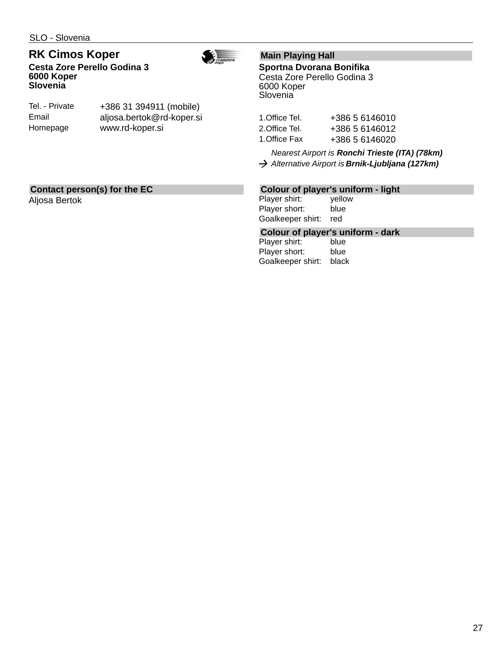#### **RK Cimos Koper Cesta Zore Perello Godina 3 6000 Koper Slovenia**



| Tel. - Private | +386 31 394911 (mobile)   |
|----------------|---------------------------|
| Email          | aljosa.bertok@rd-koper.si |
| Homepage       | www.rd-koper.si           |

#### **Main Playing Hall**

**Sportna Dvorana Bonifika** Cesta Zore Perello Godina 3 6000 Koper **Slovenia** 

| 1.Office Tel. | +386 5 6146010 |
|---------------|----------------|
| 2.Office Tel. | +386 5 6146012 |
| 1.Office Fax  | +386 5 6146020 |

*Nearest Airport is Ronchi Trieste (ITA) (78km) Alternative Airport is Brnik-Ljubljana (127km)*

#### **Contact person(s) for the EC**

Aljosa Bertok

#### **Colour of player's uniform - light**

Player shirt: yellow Player short: blue Goalkeeper shirt: red

# **Colour of player's uniform - dark**

Player shirt: Player short: blue Goalkeeper shirt: black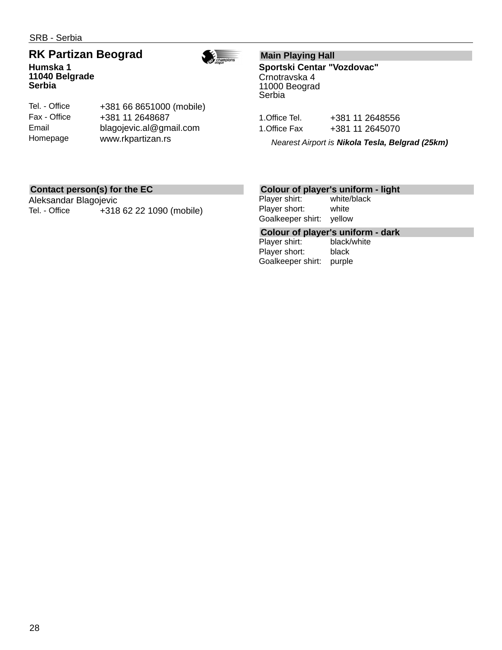SRB - Serbia

# **RK Partizan Beograd**



**Humska 1 11040 Belgrade Serbia**

Tel. - Office Fax - Office Email Homepage +381 66 8651000 (mobile) +381 11 2648687 blagojevic.al@gmail.com www.rkpartizan.rs

#### **Main Playing Hall**

**Sportski Centar "Vozdovac"** Crnotravska 4 11000 Beograd Serbia

| 1.Office Tel. | +381 11 2648556 |
|---------------|-----------------|
| 1.Office Fax  | +381 11 2645070 |

*Nearest Airport is Nikola Tesla, Belgrad (25km)*

#### **Contact person(s) for the EC**

Aleksandar Blagojevic Tel. - Office +318 62 22 1090 (mobile)

#### **Colour of player's uniform - light**

Player shirt: white/black Player short: white Goalkeeper shirt: yellow

**Colour of player's uniform - dark**

Player shirt: Player short: black Goalkeeper shirt: purple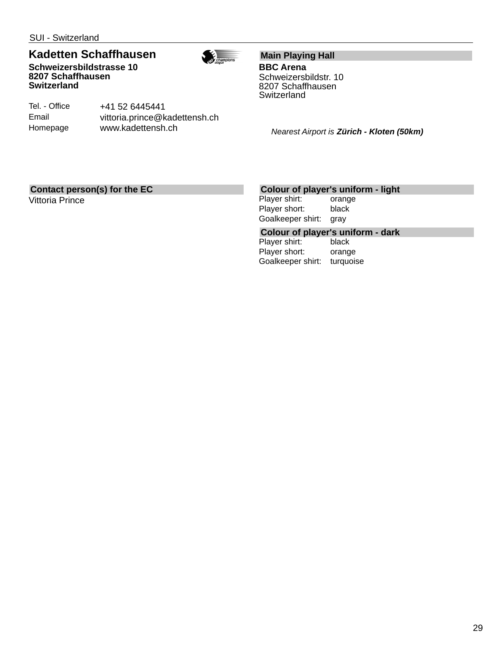SUI - Switzerland

### **Kadetten Schaffhausen**

**Schweizersbildstrasse 10 8207 Schaffhausen Switzerland**



Tel. - Office Email Homepage +41 52 6445441 vittoria.prince@kadettensh.ch www.kadettensh.ch

**Main Playing Hall BBC Arena** Schweizersbildstr. 10

8207 Schaffhausen **Switzerland** 

*Nearest Airport is Zürich - Kloten (50km)*

#### **Contact person(s) for the EC**

Vittoria Prince

#### **Colour of player's uniform - light**

Player shirt: orange Player short: black Goalkeeper shirt: gray

# **Colour of player's uniform - dark**

Player shirt: Player short: orange Goalkeeper shirt: turquoise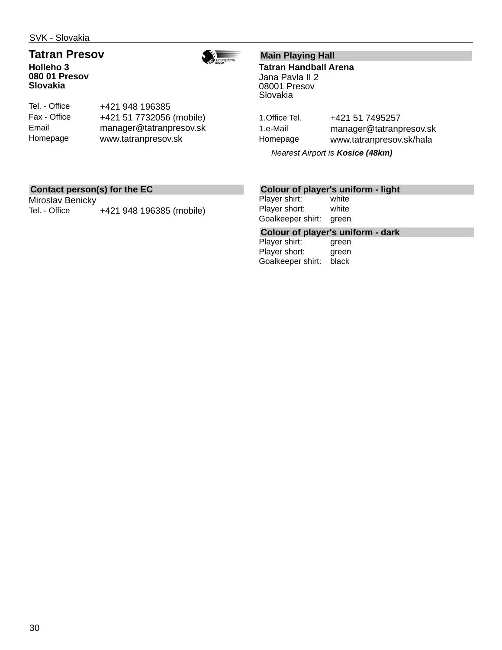SVK - Slovakia

#### **Tatran Presov Holleho 3 080 01 Presov Slovakia**



Tel. - Office Fax - Office Email Homepage +421 948 196385 +421 51 7732056 (mobile) manager@tatranpresov.sk www.tatranpresov.sk

#### **Main Playing Hall**

**Tatran Handball Arena** Jana Pavla II 2 08001 Presov Slovakia

1. Office Tel. +421 51 7495257 1.e-Mail manager@tatranpresov.sk Homepage www.tatranpresov.sk/hala

*Nearest Airport is Kosice (48km)*

#### **Contact person(s) for the EC**

Miroslav Benicky Tel. - Office +421 948 196385 (mobile)

#### **Colour of player's uniform - light**

Player shirt: white Player short: white Goalkeeper shirt: green

**Colour of player's uniform - dark**

Player shirt: Player short: green Goalkeeper shirt: black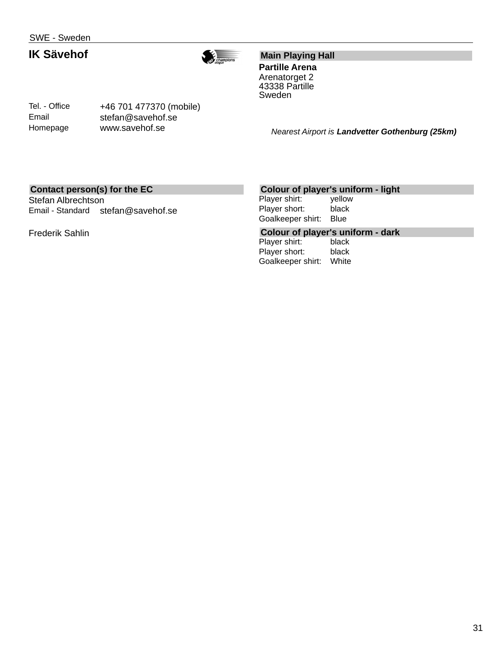### **IK Sävehof**



#### **Main Playing Hall**

**Partille Arena** Arenatorget 2 43338 Partille Sweden

Tel. - Office Email Homepage

+46 701 477370 (mobile) stefan@savehof.se www.savehof.se

*Nearest Airport is Landvetter Gothenburg (25km)*

#### **Contact person(s) for the EC**

Stefan Albrechtson Email - Standard stefan@savehof.se

Frederik Sahlin

#### **Colour of player's uniform - light**

Player shirt: yellow Player short: black Goalkeeper shirt: Blue

**Colour of player's uniform - dark**

Player shirt: Player short: black Goalkeeper shirt: White